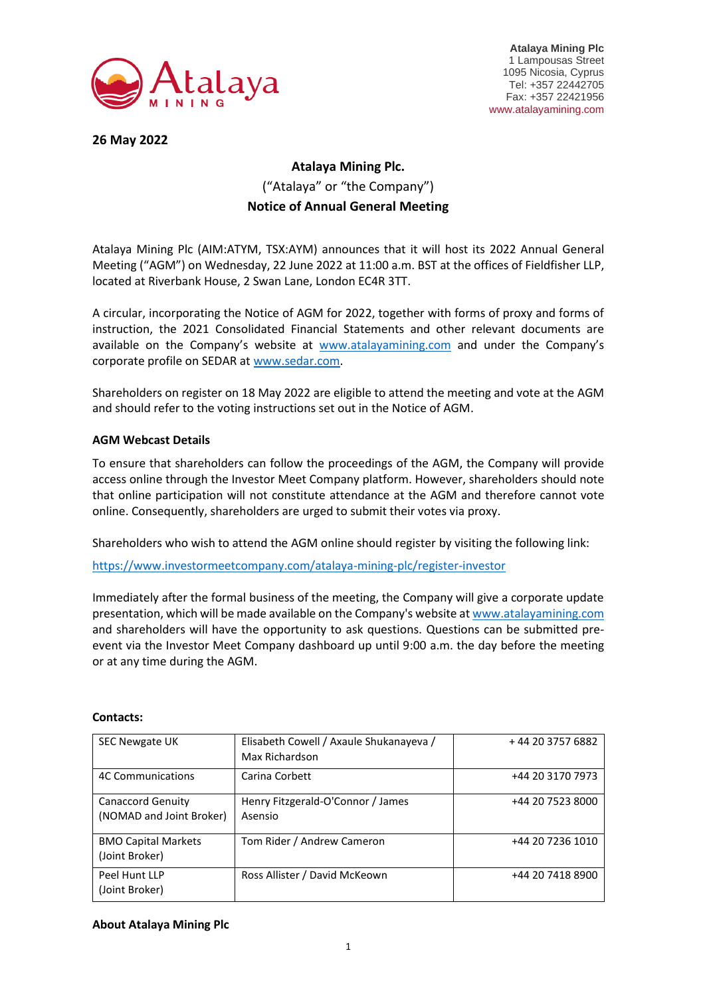

**Atalaya Mining Plc** 1 Lampousas Street 1095 Nicosia, Cyprus Tel: +357 22442705 Fax: +357 22421956 www.atalayamining.com

**26 May 2022**

## **Atalaya Mining Plc.** ("Atalaya" or "the Company") **Notice of Annual General Meeting**

Atalaya Mining Plc (AIM:ATYM, TSX:AYM) announces that it will host its 2022 Annual General Meeting ("AGM") on Wednesday, 22 June 2022 at 11:00 a.m. BST at the offices of Fieldfisher LLP, located at Riverbank House, 2 Swan Lane, London EC4R 3TT.

A circular, incorporating the Notice of AGM for 2022, together with forms of proxy and forms of instruction, the 2021 Consolidated Financial Statements and other relevant documents are available on the Company's website at [www.atalayamining.com](http://www.atalayamining.com/) and under the Company's corporate profile on SEDAR at [www.sedar.com.](http://www.sedar.com/)

Shareholders on register on 18 May 2022 are eligible to attend the meeting and vote at the AGM and should refer to the voting instructions set out in the Notice of AGM.

## **AGM Webcast Details**

To ensure that shareholders can follow the proceedings of the AGM, the Company will provide access online through the Investor Meet Company platform. However, shareholders should note that online participation will not constitute attendance at the AGM and therefore cannot vote online. Consequently, shareholders are urged to submit their votes via proxy.

Shareholders who wish to attend the AGM online should register by visiting the following link:

<https://www.investormeetcompany.com/atalaya-mining-plc/register-investor>

Immediately after the formal business of the meeting, the Company will give a corporate update presentation, which will be made available on the Company's website a[t www.atalayamining.com](http://www.atalayamining.com/) and shareholders will have the opportunity to ask questions. Questions can be submitted preevent via the Investor Meet Company dashboard up until 9:00 a.m. the day before the meeting or at any time during the AGM.

| <b>SEC Newgate UK</b>      | Elisabeth Cowell / Axaule Shukanayeva / | +44 20 3757 6882 |
|----------------------------|-----------------------------------------|------------------|
|                            | Max Richardson                          |                  |
| <b>4C Communications</b>   | Carina Corbett                          | +44 20 3170 7973 |
| Canaccord Genuity          | Henry Fitzgerald-O'Connor / James       | +44 20 7523 8000 |
| (NOMAD and Joint Broker)   | Asensio                                 |                  |
| <b>BMO Capital Markets</b> | Tom Rider / Andrew Cameron              | +44 20 7236 1010 |
| (Joint Broker)             |                                         |                  |
| Peel Hunt LLP              | Ross Allister / David McKeown           | +44 20 7418 8900 |
| (Joint Broker)             |                                         |                  |

## **Contacts:**

## **About Atalaya Mining Plc**